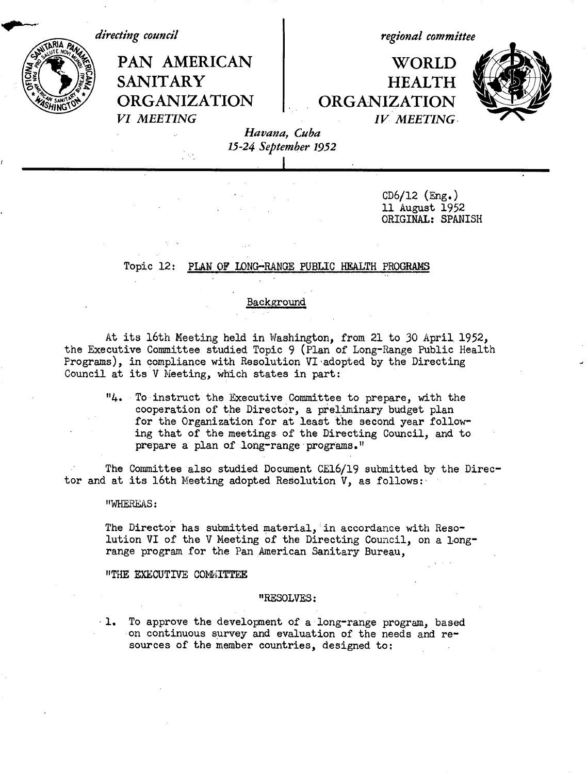*directing council*

*regional committee*

PAN AMERICAN | WORLD SANITARY **HEALTH ORGANIZATION ORGANIZATION** *VI MEETING IV MEETING*



*Havana, Cuba 15-24 September 1952*

> CD6/12 (Eng.) 11 August 1952 ORIGINAL: SPANISH

# Topic 12: PLAN OF LONG-RANGE PUBLIC HEALTH PROGRAMS

# Background

At its 16th Meeting held in Washington, from 21 to 30 April 1952, the Executive Committee studied Topic 9 (Plan of Long-Range Public Health Programs), in compliance with Resolution VI adopted by the Directing Council at its V Meeting, which states in part:

"4. To instruct the Executive Committee to prepare, with the cooperation of the Director, a preliminary budget plan for the Organization for at least the second year following that of the meetings of the Directing Council, and to prepare a plan of long-range programs."

The Committee also studied Document CE16/19 submitted by the Director and at its 16th Meeting adopted Resolution V, as follows:

"WHEREAS:

The Director has submitted material, in accordance with Resolution VI of the V Meeting of the Directing Council, on a longrange program for the Pan American Sanitary Bureau,

## "THE EXECUTIVE COMMITTEE

#### "RESOLVES:

1. To approve the development of a long-range program, based on continuous survey and evaluation of the needs and resources of the member countries, designed to: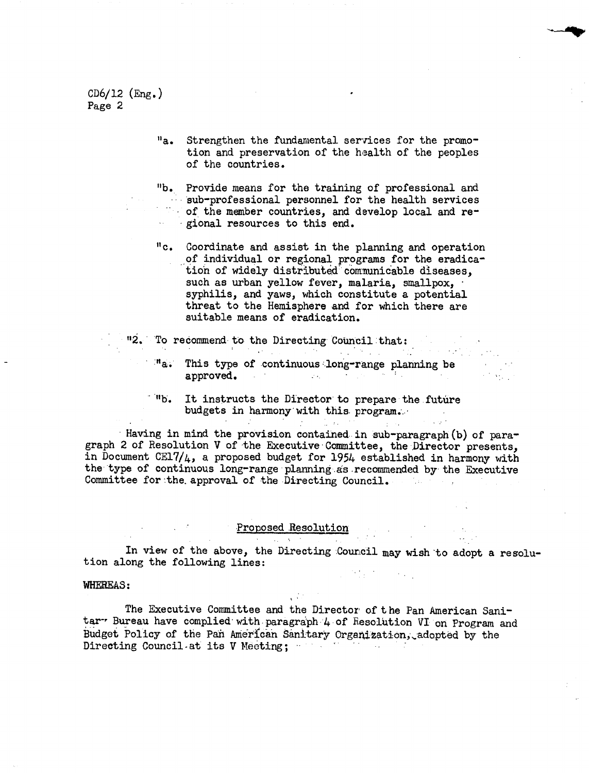CD6/12 (Eng.) Page 2

- "a. Strengthen the fundamental services for the promotion and preservation of the health of the peoples of the countries.
- "b. Provide means for the training of professional and sub-professional personnel for the health services of the member countries, and develop local and regional resources to this end.
- "c. Coordinate and assist in the planning and operation of individual or regional programs for the eradica- 'tion of widely distributed comnunicable diseases, such as urban yellow fever, malaria, smallpox, syphilis, and yaws, which constitute a potential threat to the Hemisphere and for which there are suitable means of eradication.
- "2. To recommend to the Directing Council that:
	- :"a. This type of ·continuous .long-range planning be approved.
	- '"b. It instructs the Director to prepare the.future budgets in harmony with this program.

Having in mind the provision contained in sub-paragraph(b) of paragraph 2 of Resolution V of the Executive Committee, the-Director presents, in Document CE17/ $\mu$ , a proposed budget for 1954 established in harmony with the type of continuous long-range planning as recommended by the Executive Committee for the approval of the Directing Council. Committee for :the. approval of the Directing Council.

# Proposed Resolution

In view of the above, the Directing Council may wish to adopt a resolution along the following lines:

## WHEREAS:

The Executive Committee and the Director of the Pan American Sanitar- Bureau have complied with paragraph 4 of Resolution VI on Program and Budget Policy of the Pan American Sanitary Organization, adopted by the Directing Council at its V Meeting;